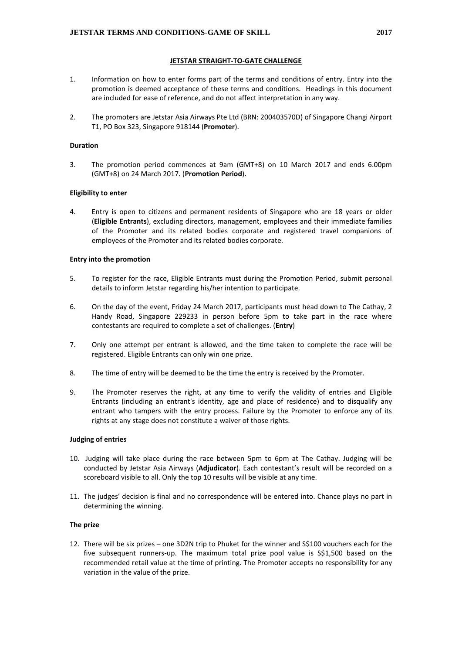## **JETSTAR STRAIGHT-TO-GATE CHALLENGE**

- 1. Information on how to enter forms part of the terms and conditions of entry. Entry into the promotion is deemed acceptance of these terms and conditions. Headings in this document are included for ease of reference, and do not affect interpretation in any way.
- 2. The promoters are Jetstar Asia Airways Pte Ltd (BRN: 200403570D) of Singapore Changi Airport T1, PO Box 323, Singapore 918144 (**Promoter**).

#### **Duration**

3. The promotion period commences at 9am (GMT+8) on 10 March 2017 and ends 6.00pm (GMT+8) on 24 March 2017. (**Promotion Period**).

#### **Eligibility to enter**

4. Entry is open to citizens and permanent residents of Singapore who are 18 years or older (**Eligible Entrants**), excluding directors, management, employees and their immediate families of the Promoter and its related bodies corporate and registered travel companions of employees of the Promoter and its related bodies corporate.

#### **Entry into the promotion**

- 5. To register for the race, Eligible Entrants must during the Promotion Period, submit personal details to inform Jetstar regarding his/her intention to participate.
- 6. On the day of the event, Friday 24 March 2017, participants must head down to The Cathay, 2 Handy Road, Singapore 229233 in person before 5pm to take part in the race where contestants are required to complete a set of challenges. (**Entry**)
- 7. Only one attempt per entrant is allowed, and the time taken to complete the race will be registered. Eligible Entrants can only win one prize.
- 8. The time of entry will be deemed to be the time the entry is received by the Promoter.
- 9. The Promoter reserves the right, at any time to verify the validity of entries and Eligible Entrants (including an entrant's identity, age and place of residence) and to disqualify any entrant who tampers with the entry process. Failure by the Promoter to enforce any of its rights at any stage does not constitute a waiver of those rights.

#### **Judging of entries**

- 10. Judging will take place during the race between 5pm to 6pm at The Cathay. Judging will be conducted by Jetstar Asia Airways (**Adjudicator**). Each contestant's result will be recorded on a scoreboard visible to all. Only the top 10 results will be visible at any time.
- 11. The judges' decision is final and no correspondence will be entered into. Chance plays no part in determining the winning.

## **The prize**

12. There will be six prizes – one 3D2N trip to Phuket for the winner and S\$100 vouchers each for the five subsequent runners-up. The maximum total prize pool value is S\$1,500 based on the recommended retail value at the time of printing. The Promoter accepts no responsibility for any variation in the value of the prize.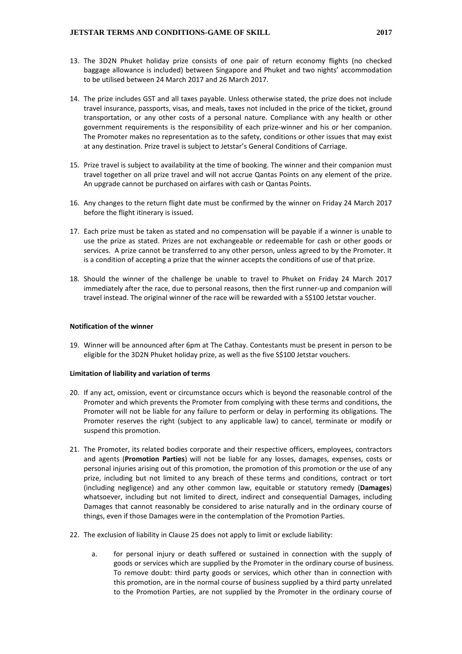- 13. The 3D2N Phuket holiday prize consists of one pair of return economy flights (no checked baggage allowance is included) between Singapore and Phuket and two nights' accommodation to be utilised between 24 March 2017 and 26 March 2017.
- 14. The prize includes GST and all taxes payable. Unless otherwise stated, the prize does not include travel insurance, passports, visas, and meals, taxes not included in the price of the ticket, ground transportation, or any other costs of a personal nature. Compliance with any health or other government requirements is the responsibility of each prize-winner and his or her companion. The Promoter makes no representation as to the safety, conditions or other issues that may exist at any destination. Prize travel is subject to Jetstar's General Conditions of Carriage.
- 15. Prize travel is subject to availability at the time of booking. The winner and their companion must travel together on all prize travel and will not accrue Qantas Points on any element of the prize. An upgrade cannot be purchased on airfares with cash or Qantas Points.
- 16. Any changes to the return flight date must be confirmed by the winner on Friday 24 March 2017 before the flight itinerary is issued.
- 17. Each prize must be taken as stated and no compensation will be payable if a winner is unable to use the prize as stated. Prizes are not exchangeable or redeemable for cash or other goods or services. A prize cannot be transferred to any other person, unless agreed to by the Promoter. It is a condition of accepting a prize that the winner accepts the conditions of use of that prize.
- 18. Should the winner of the challenge be unable to travel to Phuket on Friday 24 March 2017 immediately after the race, due to personal reasons, then the first runner-up and companion will travel instead. The original winner of the race will be rewarded with a S\$100 Jetstar voucher.

# **Notification of the winner**

19. Winner will be announced after 6pm at The Cathay. Contestants must be present in person to be eligible for the 3D2N Phuket holiday prize, as well as the five S\$100 Jetstar vouchers.

#### **Limitation of liability and variation of terms**

- 20. If any act, omission, event or circumstance occurs which is beyond the reasonable control of the Promoter and which prevents the Promoter from complying with these terms and conditions, the Promoter will not be liable for any failure to perform or delay in performing its obligations. The Promoter reserves the right (subject to any applicable law) to cancel, terminate or modify or suspend this promotion.
- 21. The Promoter, its related bodies corporate and their respective officers, employees, contractors and agents (**Promotion Parties**) will not be liable for any losses, damages, expenses, costs or personal injuries arising out of this promotion, the promotion of this promotion or the use of any prize, including but not limited to any breach of these terms and conditions, contract or tort (including negligence) and any other common law, equitable or statutory remedy (**Damages**) whatsoever, including but not limited to direct, indirect and consequential Damages, including Damages that cannot reasonably be considered to arise naturally and in the ordinary course of things, even if those Damages were in the contemplation of the Promotion Parties.
- 22. The exclusion of liability in Clause 25 does not apply to limit or exclude liability:
	- a. for personal injury or death suffered or sustained in connection with the supply of goods or services which are supplied by the Promoter in the ordinary course of business. To remove doubt: third party goods or services, which other than in connection with this promotion, are in the normal course of business supplied by a third party unrelated to the Promotion Parties, are not supplied by the Promoter in the ordinary course of